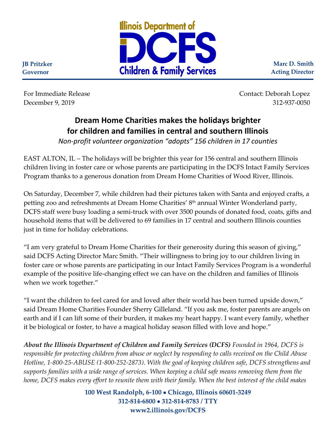

**Marc D. Smith Acting Director**

**JB Pritzker Governor**

For Immediate Release Contact: Deborah Lopez December 9, 2019 312-937-0050

## **Dream Home Charities makes the holidays brighter for children and families in central and southern Illinois**

*Non-profit volunteer organization "adopts" 156 children in 17 counties*

EAST ALTON, IL – The holidays will be brighter this year for 156 central and southern Illinois children living in foster care or whose parents are participating in the DCFS Intact Family Services Program thanks to a generous donation from Dream Home Charities of Wood River, Illinois.

On Saturday, December 7, while children had their pictures taken with Santa and enjoyed crafts, a petting zoo and refreshments at Dream Home Charities' 8<sup>th</sup> annual Winter Wonderland party, DCFS staff were busy loading a semi-truck with over 3500 pounds of donated food, coats, gifts and household items that will be delivered to 69 families in 17 central and southern Illinois counties just in time for holiday celebrations.

"I am very grateful to Dream Home Charities for their generosity during this season of giving," said DCFS Acting Director Marc Smith. "Their willingness to bring joy to our children living in foster care or whose parents are participating in our Intact Family Services Program is a wonderful example of the positive life-changing effect we can have on the children and families of Illinois when we work together."

"I want the children to feel cared for and loved after their world has been turned upside down," said Dream Home Charities Founder Sherry Gilleland. "If you ask me, foster parents are angels on earth and if I can lift some of their burden, it makes my heart happy. I want every family, whether it be biological or foster, to have a magical holiday season filled with love and hope."

*About the Illinois Department of Children and Family Services (DCFS) Founded in 1964, DCFS is responsible for protecting children from abuse or neglect by responding to calls received on the Child Abuse Hotline, 1-800-25-ABUSE (1-800-252-2873). With the goal of keeping children safe, DCFS strengthens and supports families with a wide range of services. When keeping a child safe means removing them from the home, DCFS makes every effort to reunite them with their family. When the best interest of the child makes* 

> **100 West Randolph, 6-100** • **Chicago, Illinois 60601-3249 312-814-6800** • **312-814-8783 / TTY www2.illinois.gov/DCFS**